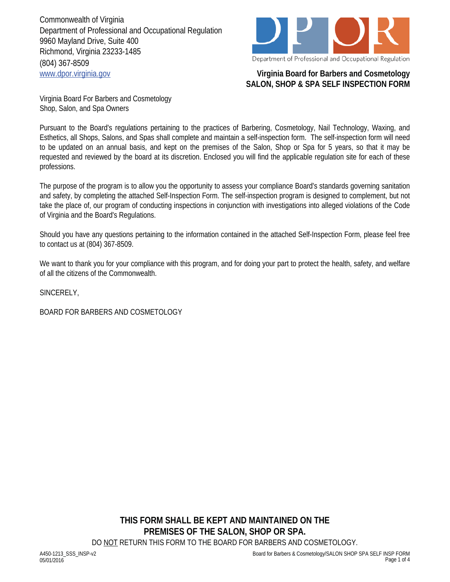Commonwealth of Virginia Department of Professional and Occupational Regulation 9960 Mayland Drive, Suite 400 Richmond, Virginia 23233-1485 (804) 367-8509 www.dpor.virginia.gov **Virginia Board for Barbers and Cosmetology**



## **SALON, SHOP & SPA SELF INSPECTION FORM**

Virginia Board For Barbers and Cosmetology Shop, Salon, and Spa Owners

Pursuant to the Board's regulations pertaining to the practices of Barbering, Cosmetology, Nail Technology, Waxing, and Esthetics, all Shops, Salons, and Spas shall complete and maintain a self-inspection form. The self-inspection form will need to be updated on an annual basis, and kept on the premises of the Salon, Shop or Spa for 5 years, so that it may be requested and reviewed by the board at its discretion. Enclosed you will find the applicable regulation site for each of these professions.

The purpose of the program is to allow you the opportunity to assess your compliance Board's standards governing sanitation and safety, by completing the attached Self-Inspection Form. The self-inspection program is designed to complement, but not take the place of, our program of conducting inspections in conjunction with investigations into alleged violations of the Code of Virginia and the Board's Regulations.

Should you have any questions pertaining to the information contained in the attached Self-Inspection Form, please feel free to contact us at (804) 367-8509.

We want to thank you for your compliance with this program, and for doing your part to protect the health, safety, and welfare of all the citizens of the Commonwealth.

SINCERELY,

BOARD FOR BARBERS AND COSMETOLOGY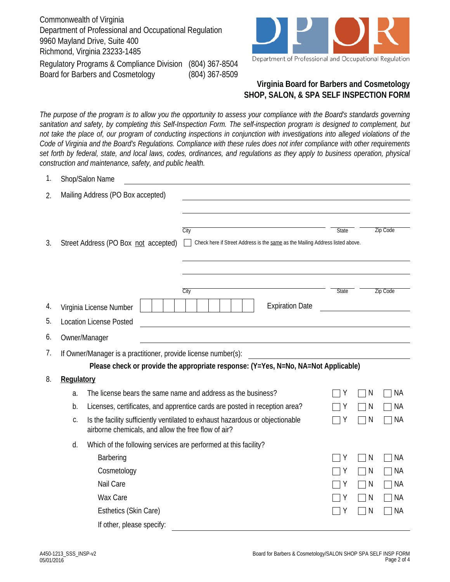Commonwealth of Virginia Department of Professional and Occupational Regulation 9960 Mayland Drive, Suite 400 Richmond, Virginia 23233-1485 Regulatory Programs & Compliance Division (804) 367-8504 Board for Barbers and Cosmetology (804) 367-8509



## **Virginia Board for Barbers and Cosmetology SHOP, SALON, & SPA SELF INSPECTION FORM**

*The purpose of the program is to allow you the opportunity to assess your compliance with the Board's standards governing sanitation and safety, by completing this Self-Inspection Form. The self-inspection program is designed to complement, but not take the place of, our program of conducting inspections in conjunction with investigations into alleged violations of the Code of Virginia and the Board's Regulations. Compliance with these rules does not infer compliance with other requirements set forth by federal, state, and local laws, codes, ordinances, and regulations as they apply to business operation, physical construction and maintenance, safety, and public health.*

| Ι.       |                                                                                                                                            | Shop/Salon Name                                                 |                                                                                       |                                 |              |                 |  |  |  |
|----------|--------------------------------------------------------------------------------------------------------------------------------------------|-----------------------------------------------------------------|---------------------------------------------------------------------------------------|---------------------------------|--------------|-----------------|--|--|--|
| 2.       |                                                                                                                                            | Mailing Address (PO Box accepted)                               |                                                                                       |                                 |              |                 |  |  |  |
| 3.       |                                                                                                                                            | Street Address (PO Box not accepted)                            | City<br>Check here if Street Address is the same as the Mailing Address listed above. | <b>State</b>                    |              | <b>Zip Code</b> |  |  |  |
| 4.<br>5. |                                                                                                                                            | Virginia License Number<br><b>Location License Posted</b>       | City<br><b>Expiration Date</b>                                                        | <b>Zip Code</b><br><b>State</b> |              |                 |  |  |  |
|          |                                                                                                                                            |                                                                 |                                                                                       |                                 |              |                 |  |  |  |
| 6.       |                                                                                                                                            | Owner/Manager                                                   |                                                                                       |                                 |              |                 |  |  |  |
| 7.       | If Owner/Manager is a practitioner, provide license number(s):                                                                             |                                                                 |                                                                                       |                                 |              |                 |  |  |  |
|          |                                                                                                                                            |                                                                 | Please check or provide the appropriate response: (Y=Yes, N=No, NA=Not Applicable)    |                                 |              |                 |  |  |  |
| 8.       | Regulatory                                                                                                                                 |                                                                 |                                                                                       |                                 |              |                 |  |  |  |
|          | a.                                                                                                                                         |                                                                 | The license bears the same name and address as the business?                          |                                 | N            | <b>NA</b>       |  |  |  |
|          | b.                                                                                                                                         |                                                                 | Licenses, certificates, and apprentice cards are posted in reception area?            | Υ                               | N            | <b>NA</b>       |  |  |  |
|          | Is the facility sufficiently ventilated to exhaust hazardous or objectionable<br>C.<br>airborne chemicals, and allow the free flow of air? |                                                                 |                                                                                       |                                 | N            | <b>NA</b>       |  |  |  |
|          | d.                                                                                                                                         | Which of the following services are performed at this facility? |                                                                                       |                                 |              |                 |  |  |  |
|          |                                                                                                                                            | Barbering                                                       |                                                                                       | Y                               | $\mathsf{N}$ | <b>NA</b>       |  |  |  |
|          |                                                                                                                                            | Cosmetology                                                     |                                                                                       | Y                               | N            | <b>NA</b>       |  |  |  |
|          |                                                                                                                                            | Nail Care                                                       |                                                                                       | Y                               | N            | <b>NA</b>       |  |  |  |
|          |                                                                                                                                            | Wax Care                                                        |                                                                                       | Y                               | N            | <b>NA</b>       |  |  |  |
|          |                                                                                                                                            | Esthetics (Skin Care)                                           |                                                                                       | Y                               | N            | <b>NA</b>       |  |  |  |
|          |                                                                                                                                            | If other, please specify:                                       |                                                                                       |                                 |              |                 |  |  |  |

1.  $C = (C - 1)$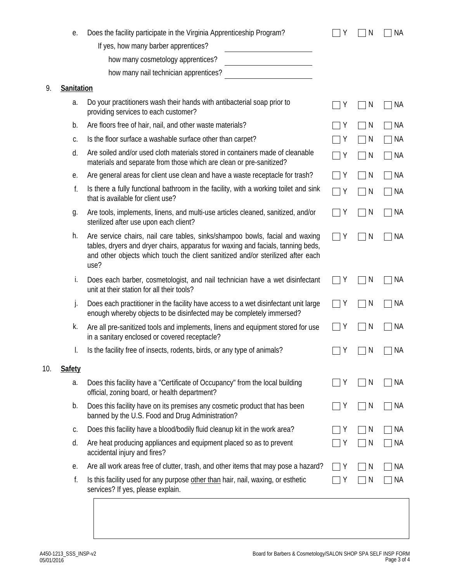|     | е.                                   | Does the facility participate in the Virginia Apprenticeship Program?                                                                                                                                                                                       | Y | N | ΝA        |
|-----|--------------------------------------|-------------------------------------------------------------------------------------------------------------------------------------------------------------------------------------------------------------------------------------------------------------|---|---|-----------|
|     | If yes, how many barber apprentices? |                                                                                                                                                                                                                                                             |   |   |           |
|     | how many cosmetology apprentices?    |                                                                                                                                                                                                                                                             |   |   |           |
|     |                                      | how many nail technician apprentices?                                                                                                                                                                                                                       |   |   |           |
| 9.  | Sanitation                           |                                                                                                                                                                                                                                                             |   |   |           |
|     | a.                                   | Do your practitioners wash their hands with antibacterial soap prior to<br>providing services to each customer?                                                                                                                                             | Y | N | <b>NA</b> |
|     | b.                                   | Are floors free of hair, nail, and other waste materials?                                                                                                                                                                                                   | Υ | N | NА        |
|     | C.                                   | Is the floor surface a washable surface other than carpet?                                                                                                                                                                                                  | Y | N | NА        |
|     | d.                                   | Are soiled and/or used cloth materials stored in containers made of cleanable<br>materials and separate from those which are clean or pre-sanitized?                                                                                                        | Y | N | ΝA        |
|     | е.                                   | Are general areas for client use clean and have a waste receptacle for trash?                                                                                                                                                                               | Y | N | ΝA        |
|     | f.                                   | Is there a fully functional bathroom in the facility, with a working toilet and sink<br>that is available for client use?                                                                                                                                   | Y | N | <b>NA</b> |
|     | g.                                   | Are tools, implements, linens, and multi-use articles cleaned, sanitized, and/or<br>sterilized after use upon each client?                                                                                                                                  | Y | N | ΝA        |
|     | h.                                   | Are service chairs, nail care tables, sinks/shampoo bowls, facial and waxing<br>tables, dryers and dryer chairs, apparatus for waxing and facials, tanning beds,<br>and other objects which touch the client sanitized and/or sterilized after each<br>use? | Υ | N | ΝA        |
|     | İ.                                   | Does each barber, cosmetologist, and nail technician have a wet disinfectant<br>unit at their station for all their tools?                                                                                                                                  | Υ | N | ΝA        |
|     | j.                                   | Does each practitioner in the facility have access to a wet disinfectant unit large<br>enough whereby objects to be disinfected may be completely immersed?                                                                                                 | Y | N | ΝA        |
|     | k.                                   | Are all pre-sanitized tools and implements, linens and equipment stored for use<br>in a sanitary enclosed or covered receptacle?                                                                                                                            | Y | N | NА        |
|     | I.                                   | Is the facility free of insects, rodents, birds, or any type of animals?                                                                                                                                                                                    | Y | N | ΝA        |
| 10. | <b>Safety</b>                        |                                                                                                                                                                                                                                                             |   |   |           |
|     | a.                                   | Does this facility have a "Certificate of Occupancy" from the local building<br>official, zoning board, or health department?                                                                                                                               | Y | N | ΝA        |
|     | b.                                   | Does this facility have on its premises any cosmetic product that has been<br>banned by the U.S. Food and Drug Administration?                                                                                                                              | Y | N | NА        |
|     | C.                                   | Does this facility have a blood/bodily fluid cleanup kit in the work area?                                                                                                                                                                                  | Y | N | ΝA        |
|     | d.                                   | Are heat producing appliances and equipment placed so as to prevent<br>accidental injury and fires?                                                                                                                                                         | Y | N | ΝA        |
|     | е.                                   | Are all work areas free of clutter, trash, and other items that may pose a hazard?                                                                                                                                                                          | Y | N | ΝA        |
|     | f.                                   | Is this facility used for any purpose other than hair, nail, waxing, or esthetic<br>services? If yes, please explain.                                                                                                                                       | Y | N | ΝA        |
|     |                                      |                                                                                                                                                                                                                                                             |   |   |           |

10.